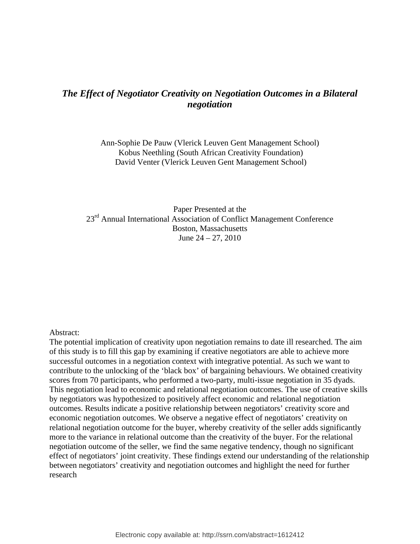# *The Effect of Negotiator Creativity on Negotiation Outcomes in a Bilateral negotiation*

Ann-Sophie De Pauw (Vlerick Leuven Gent Management School) Kobus Neethling (South African Creativity Foundation) David Venter (Vlerick Leuven Gent Management School)

Paper Presented at the 23<sup>rd</sup> Annual International Association of Conflict Management Conference Boston, Massachusetts June 24 – 27, 2010

#### Abstract:

The potential implication of creativity upon negotiation remains to date ill researched. The aim of this study is to fill this gap by examining if creative negotiators are able to achieve more successful outcomes in a negotiation context with integrative potential. As such we want to contribute to the unlocking of the 'black box' of bargaining behaviours. We obtained creativity scores from 70 participants, who performed a two-party, multi-issue negotiation in 35 dyads. This negotiation lead to economic and relational negotiation outcomes. The use of creative skills by negotiators was hypothesized to positively affect economic and relational negotiation outcomes. Results indicate a positive relationship between negotiators' creativity score and economic negotiation outcomes. We observe a negative effect of negotiators' creativity on relational negotiation outcome for the buyer, whereby creativity of the seller adds significantly more to the variance in relational outcome than the creativity of the buyer. For the relational negotiation outcome of the seller, we find the same negative tendency, though no significant effect of negotiators' joint creativity. These findings extend our understanding of the relationship between negotiators' creativity and negotiation outcomes and highlight the need for further research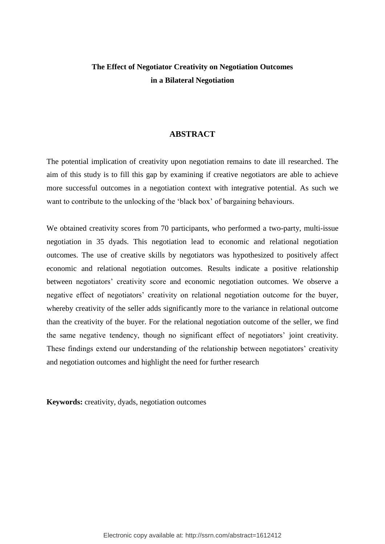# **The Effect of Negotiator Creativity on Negotiation Outcomes in a Bilateral Negotiation**

# **ABSTRACT**

The potential implication of creativity upon negotiation remains to date ill researched. The aim of this study is to fill this gap by examining if creative negotiators are able to achieve more successful outcomes in a negotiation context with integrative potential. As such we want to contribute to the unlocking of the 'black box' of bargaining behaviours.

We obtained creativity scores from 70 participants, who performed a two-party, multi-issue negotiation in 35 dyads. This negotiation lead to economic and relational negotiation outcomes. The use of creative skills by negotiators was hypothesized to positively affect economic and relational negotiation outcomes. Results indicate a positive relationship between negotiators' creativity score and economic negotiation outcomes. We observe a negative effect of negotiators' creativity on relational negotiation outcome for the buyer, whereby creativity of the seller adds significantly more to the variance in relational outcome than the creativity of the buyer. For the relational negotiation outcome of the seller, we find the same negative tendency, though no significant effect of negotiators' joint creativity. These findings extend our understanding of the relationship between negotiators' creativity and negotiation outcomes and highlight the need for further research

**Keywords:** creativity, dyads, negotiation outcomes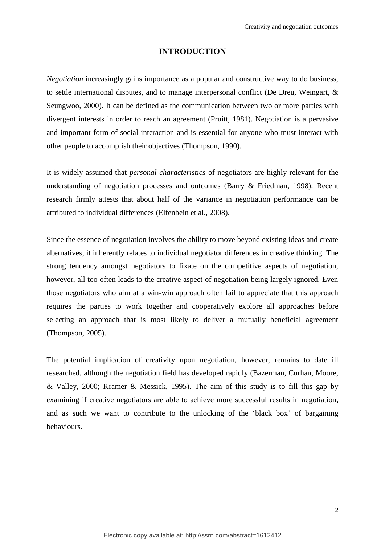# **INTRODUCTION**

*Negotiation* increasingly gains importance as a popular and constructive way to do business, to settle international disputes, and to manage interpersonal conflict (De Dreu, Weingart, & Seungwoo, 2000). It can be defined as the communication between two or more parties with divergent interests in order to reach an agreement (Pruitt, 1981). Negotiation is a pervasive and important form of social interaction and is essential for anyone who must interact with other people to accomplish their objectives (Thompson, 1990).

It is widely assumed that *personal characteristics* of negotiators are highly relevant for the understanding of negotiation processes and outcomes (Barry & Friedman, 1998). Recent research firmly attests that about half of the variance in negotiation performance can be attributed to individual differences (Elfenbein et al., 2008).

Since the essence of negotiation involves the ability to move beyond existing ideas and create alternatives, it inherently relates to individual negotiator differences in creative thinking. The strong tendency amongst negotiators to fixate on the competitive aspects of negotiation, however, all too often leads to the creative aspect of negotiation being largely ignored. Even those negotiators who aim at a win-win approach often fail to appreciate that this approach requires the parties to work together and cooperatively explore all approaches before selecting an approach that is most likely to deliver a mutually beneficial agreement (Thompson, 2005).

The potential implication of creativity upon negotiation, however, remains to date ill researched, although the negotiation field has developed rapidly (Bazerman, Curhan, Moore, & Valley, 2000; Kramer & Messick, 1995). The aim of this study is to fill this gap by examining if creative negotiators are able to achieve more successful results in negotiation, and as such we want to contribute to the unlocking of the 'black box' of bargaining behaviours.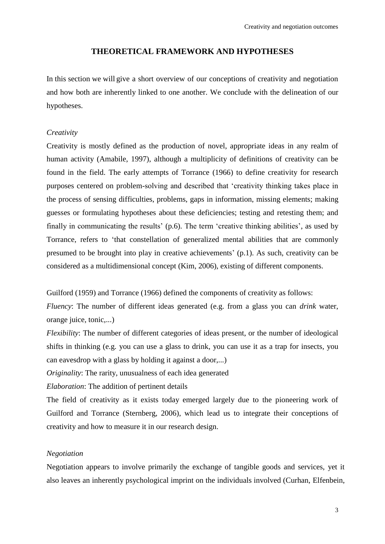# **THEORETICAL FRAMEWORK AND HYPOTHESES**

In this section we will give a short overview of our conceptions of creativity and negotiation and how both are inherently linked to one another. We conclude with the delineation of our hypotheses.

## *Creativity*

Creativity is mostly defined as the production of novel, appropriate ideas in any realm of human activity (Amabile, 1997), although a multiplicity of definitions of creativity can be found in the field. The early attempts of Torrance (1966) to define creativity for research purposes centered on problem-solving and described that 'creativity thinking takes place in the process of sensing difficulties, problems, gaps in information, missing elements; making guesses or formulating hypotheses about these deficiencies; testing and retesting them; and finally in communicating the results' (p.6). The term 'creative thinking abilities', as used by Torrance, refers to 'that constellation of generalized mental abilities that are commonly presumed to be brought into play in creative achievements' (p.1). As such, creativity can be considered as a multidimensional concept (Kim, 2006), existing of different components.

Guilford (1959) and Torrance (1966) defined the components of creativity as follows:

*Fluency*: The number of different ideas generated (e.g. from a glass you can *drink* water, orange juice, tonic,...)

*Flexibility*: The number of different categories of ideas present, or the number of ideological shifts in thinking (e.g. you can use a glass to drink, you can use it as a trap for insects*,* you can eavesdrop with a glass by holding it against a door,...)

*Originality*: The rarity, unusualness of each idea generated

*Elaboration*: The addition of pertinent details

The field of creativity as it exists today emerged largely due to the pioneering work of Guilford and Torrance (Sternberg, 2006), which lead us to integrate their conceptions of creativity and how to measure it in our research design.

#### *Negotiation*

Negotiation appears to involve primarily the exchange of tangible goods and services, yet it also leaves an inherently psychological imprint on the individuals involved (Curhan, Elfenbein,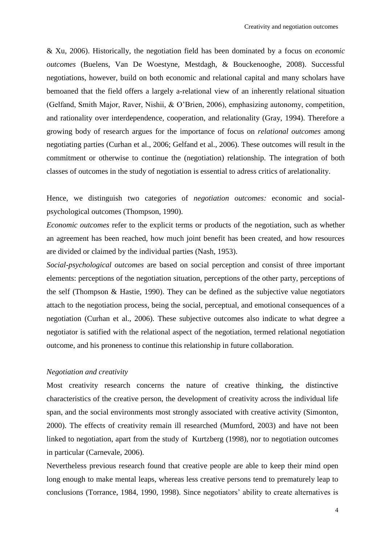& Xu, 2006). Historically, the negotiation field has been dominated by a focus on *economic outcomes* (Buelens, Van De Woestyne, Mestdagh, & Bouckenooghe, 2008). Successful negotiations, however, build on both economic and relational capital and many scholars have bemoaned that the field offers a largely a-relational view of an inherently relational situation (Gelfand, Smith Major, Raver, Nishii, & O'Brien, 2006), emphasizing autonomy, competition, and rationality over interdependence, cooperation, and relationality (Gray, 1994). Therefore a growing body of research argues for the importance of focus on *relational outcomes* among negotiating parties (Curhan et al., 2006; Gelfand et al., 2006). These outcomes will result in the commitment or otherwise to continue the (negotiation) relationship. The integration of both classes of outcomes in the study of negotiation is essential to adress critics of arelationality.

Hence, we distinguish two categories of *negotiation outcomes:* economic and socialpsychological outcomes (Thompson, 1990).

*Economic outcomes* refer to the explicit terms or products of the negotiation, such as whether an agreement has been reached, how much joint benefit has been created, and how resources are divided or claimed by the individual parties (Nash, 1953).

*Social-psychological outcomes* are based on social perception and consist of three important elements: perceptions of the negotiation situation, perceptions of the other party, perceptions of the self (Thompson & Hastie, 1990). They can be defined as the subjective value negotiators attach to the negotiation process, being the social, perceptual, and emotional consequences of a negotiation (Curhan et al., 2006). These subjective outcomes also indicate to what degree a negotiator is satified with the relational aspect of the negotiation, termed relational negotiation outcome, and his proneness to continue this relationship in future collaboration.

## *Negotiation and creativity*

Most creativity research concerns the nature of creative thinking, the distinctive characteristics of the creative person, the development of creativity across the individual life span, and the social environments most strongly associated with creative activity (Simonton, 2000). The effects of creativity remain ill researched (Mumford, 2003) and have not been linked to negotiation, apart from the study of Kurtzberg (1998), nor to negotiation outcomes in particular (Carnevale, 2006).

Nevertheless previous research found that creative people are able to keep their mind open long enough to make mental leaps, whereas less creative persons tend to prematurely leap to conclusions (Torrance, 1984, 1990, 1998). Since negotiators' ability to create alternatives is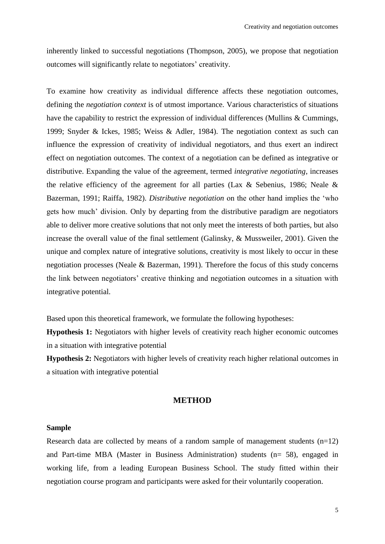inherently linked to successful negotiations (Thompson, 2005), we propose that negotiation outcomes will significantly relate to negotiators' creativity.

To examine how creativity as individual difference affects these negotiation outcomes, defining the *negotiation context* is of utmost importance. Various characteristics of situations have the capability to restrict the expression of individual differences (Mullins & Cummings, 1999; Snyder & Ickes, 1985; Weiss & Adler, 1984). The negotiation context as such can influence the expression of creativity of individual negotiators, and thus exert an indirect effect on negotiation outcomes. The context of a negotiation can be defined as integrative or distributive. Expanding the value of the agreement, termed *integrative negotiating*, increases the relative efficiency of the agreement for all parties (Lax  $\&$  Sebenius, 1986; Neale  $\&$ Bazerman, 1991; Raiffa, 1982). *Distributive negotiation* on the other hand implies the 'who gets how much' division. Only by departing from the distributive paradigm are negotiators able to deliver more creative solutions that not only meet the interests of both parties, but also increase the overall value of the final settlement (Galinsky, & Mussweiler, 2001). Given the unique and complex nature of integrative solutions, creativity is most likely to occur in these negotiation processes (Neale & Bazerman, 1991). Therefore the focus of this study concerns the link between negotiators' creative thinking and negotiation outcomes in a situation with integrative potential.

Based upon this theoretical framework, we formulate the following hypotheses:

**Hypothesis 1:** Negotiators with higher levels of creativity reach higher economic outcomes in a situation with integrative potential

**Hypothesis 2:** Negotiators with higher levels of creativity reach higher relational outcomes in a situation with integrative potential

# **METHOD**

#### **Sample**

Research data are collected by means of a random sample of management students  $(n=12)$ and Part-time MBA (Master in Business Administration) students (n= 58), engaged in working life, from a leading European Business School. The study fitted within their negotiation course program and participants were asked for their voluntarily cooperation.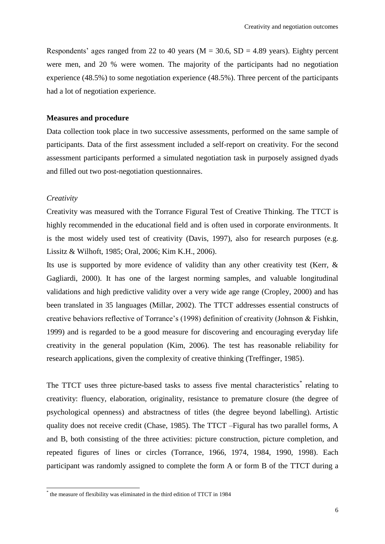Respondents' ages ranged from 22 to 40 years ( $M = 30.6$ ,  $SD = 4.89$  years). Eighty percent were men, and 20 % were women. The majority of the participants had no negotiation experience (48.5%) to some negotiation experience (48.5%). Three percent of the participants had a lot of negotiation experience.

## **Measures and procedure**

Data collection took place in two successive assessments, performed on the same sample of participants. Data of the first assessment included a self-report on creativity. For the second assessment participants performed a simulated negotiation task in purposely assigned dyads and filled out two post-negotiation questionnaires.

#### *Creativity*

Creativity was measured with the Torrance Figural Test of Creative Thinking. The TTCT is highly recommended in the educational field and is often used in corporate environments. It is the most widely used test of creativity (Davis, 1997), also for research purposes (e.g. Lissitz & Wilhoft, 1985; Oral, 2006; Kim K.H., 2006).

Its use is supported by more evidence of validity than any other creativity test (Kerr, & Gagliardi, 2000). It has one of the largest norming samples, and valuable longitudinal validations and high predictive validity over a very wide age range (Cropley, 2000) and has been translated in 35 languages (Millar, 2002). The TTCT addresses essential constructs of creative behaviors reflective of Torrance's (1998) definition of creativity (Johnson & Fishkin, 1999) and is regarded to be a good measure for discovering and encouraging everyday life creativity in the general population (Kim, 2006). The test has reasonable reliability for research applications, given the complexity of creative thinking (Treffinger, 1985).

The TTCT uses three picture-based tasks to assess five mental characteristics<sup>\*</sup> relating to creativity: fluency, elaboration, originality, resistance to premature closure (the degree of psychological openness) and abstractness of titles (the degree beyond labelling). Artistic quality does not receive credit (Chase, 1985). The TTCT –Figural has two parallel forms, A and B, both consisting of the three activities: picture construction, picture completion, and repeated figures of lines or circles (Torrance, 1966, 1974, 1984, 1990, 1998). Each participant was randomly assigned to complete the form A or form B of the TTCT during a

 \* the measure of flexibility was eliminated in the third edition of TTCT in 1984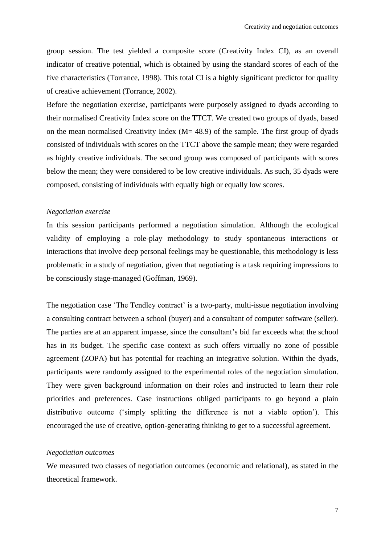group session. The test yielded a composite score (Creativity Index CI), as an overall indicator of creative potential, which is obtained by using the standard scores of each of the five characteristics (Torrance, 1998). This total CI is a highly significant predictor for quality of creative achievement (Torrance, 2002).

Before the negotiation exercise, participants were purposely assigned to dyads according to their normalised Creativity Index score on the TTCT. We created two groups of dyads, based on the mean normalised Creativity Index  $(M = 48.9)$  of the sample. The first group of dyads consisted of individuals with scores on the TTCT above the sample mean; they were regarded as highly creative individuals. The second group was composed of participants with scores below the mean; they were considered to be low creative individuals. As such, 35 dyads were composed, consisting of individuals with equally high or equally low scores.

## *Negotiation exercise*

In this session participants performed a negotiation simulation. Although the ecological validity of employing a role-play methodology to study spontaneous interactions or interactions that involve deep personal feelings may be questionable, this methodology is less problematic in a study of negotiation, given that negotiating is a task requiring impressions to be consciously stage-managed (Goffman, 1969).

The negotiation case 'The Tendley contract' is a two-party, multi-issue negotiation involving a consulting contract between a school (buyer) and a consultant of computer software (seller). The parties are at an apparent impasse, since the consultant's bid far exceeds what the school has in its budget. The specific case context as such offers virtually no zone of possible agreement (ZOPA) but has potential for reaching an integrative solution. Within the dyads, participants were randomly assigned to the experimental roles of the negotiation simulation. They were given background information on their roles and instructed to learn their role priorities and preferences. Case instructions obliged participants to go beyond a plain distributive outcome ('simply splitting the difference is not a viable option'). This encouraged the use of creative, option-generating thinking to get to a successful agreement.

#### *Negotiation outcomes*

We measured two classes of negotiation outcomes (economic and relational), as stated in the theoretical framework.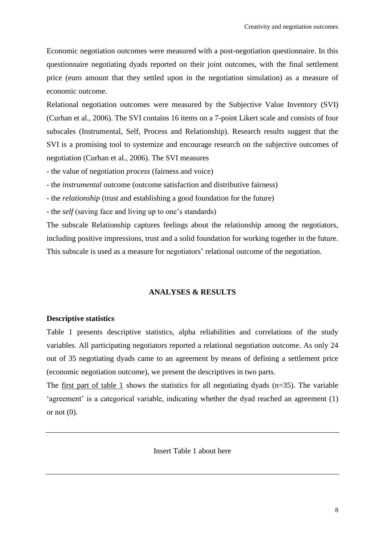Economic negotiation outcomes were measured with a post-negotiation questionnaire. In this questionnaire negotiating dyads reported on their joint outcomes, with the final settlement price (euro amount that they settled upon in the negotiation simulation) as a measure of economic outcome.

Relational negotiation outcomes were measured by the Subjective Value Inventory (SVI) (Curhan et al., 2006). The SVI contains 16 items on a 7-point Likert scale and consists of four subscales (Instrumental, Self, Process and Relationship). Research results suggest that the SVI is a promising tool to systemize and encourage research on the subjective outcomes of negotiation (Curhan et al., 2006). The SVI measures

- the value of negotiation *process* (fairness and voice)

- the *instrumental* outcome (outcome satisfaction and distributive fairness)

- the *relationship* (trust and establishing a good foundation for the future)

- the *self* (saving face and living up to one's standards)

The subscale Relationship captures feelings about the relationship among the negotiators, including positive impressions, trust and a solid foundation for working together in the future. This subscale is used as a measure for negotiators' relational outcome of the negotiation.

## **ANALYSES & RESULTS**

## **Descriptive statistics**

Table 1 presents descriptive statistics, alpha reliabilities and correlations of the study variables. All participating negotiators reported a relational negotiation outcome. As only 24 out of 35 negotiating dyads came to an agreement by means of defining a settlement price (economic negotiation outcome), we present the descriptives in two parts.

The first part of table 1 shows the statistics for all negotiating dyads  $(n=35)$ . The variable 'agreement' is a categorical variable, indicating whether the dyad reached an agreement (1) or not  $(0)$ .

Insert Table 1 about here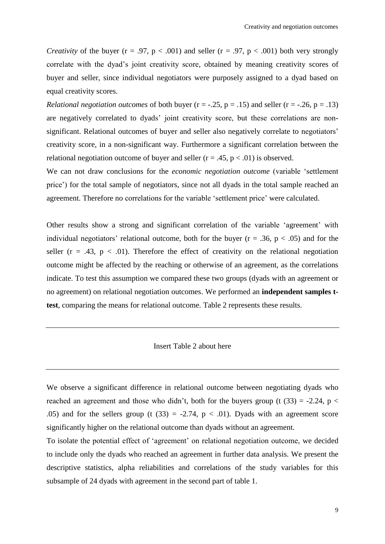*Creativity* of the buyer ( $r = .97$ ,  $p < .001$ ) and seller ( $r = .97$ ,  $p < .001$ ) both very strongly correlate with the dyad's joint creativity score, obtained by meaning creativity scores of buyer and seller, since individual negotiators were purposely assigned to a dyad based on equal creativity scores.

*Relational negotiation outcomes* of both buyer ( $r = -.25$ ,  $p = .15$ ) and seller ( $r = -.26$ ,  $p = .13$ ) are negatively correlated to dyads' joint creativity score, but these correlations are nonsignificant. Relational outcomes of buyer and seller also negatively correlate to negotiators' creativity score, in a non-significant way. Furthermore a significant correlation between the relational negotiation outcome of buyer and seller  $(r = .45, p < .01)$  is observed.

We can not draw conclusions for the *economic negotiation outcome* (variable 'settlement price') for the total sample of negotiators, since not all dyads in the total sample reached an agreement. Therefore no correlations for the variable 'settlement price' were calculated.

Other results show a strong and significant correlation of the variable 'agreement' with individual negotiators' relational outcome, both for the buyer ( $r = .36$ ,  $p < .05$ ) and for the seller ( $r = .43$ ,  $p < .01$ ). Therefore the effect of creativity on the relational negotiation outcome might be affected by the reaching or otherwise of an agreement, as the correlations indicate. To test this assumption we compared these two groups (dyads with an agreement or no agreement) on relational negotiation outcomes. We performed an **independent samples ttest**, comparing the means for relational outcome. Table 2 represents these results.

#### Insert Table 2 about here

We observe a significant difference in relational outcome between negotiating dyads who reached an agreement and those who didn't, both for the buyers group (t  $(33) = -2.24$ , p < .05) and for the sellers group (t  $(33) = -2.74$ ,  $p < .01$ ). Dyads with an agreement score significantly higher on the relational outcome than dyads without an agreement.

To isolate the potential effect of 'agreement' on relational negotiation outcome, we decided to include only the dyads who reached an agreement in further data analysis. We present the descriptive statistics, alpha reliabilities and correlations of the study variables for this subsample of 24 dyads with agreement in the second part of table 1.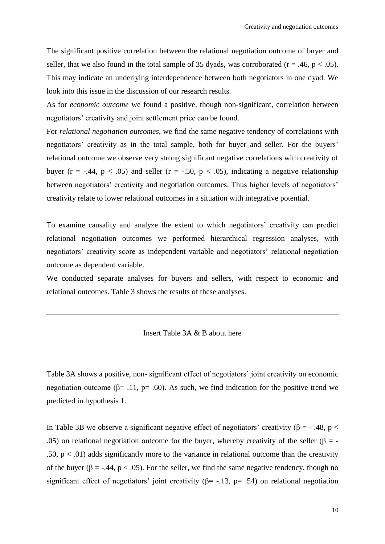The significant positive correlation between the relational negotiation outcome of buyer and seller, that we also found in the total sample of 35 dyads, was corroborated ( $r = .46$ ,  $p < .05$ ). This may indicate an underlying interdependence between both negotiators in one dyad. We look into this issue in the discussion of our research results.

As for *economic outcome* we found a positive, though non-significant, correlation between negotiators' creativity and joint settlement price can be found.

For *relational negotiation outcomes*, we find the same negative tendency of correlations with negotiators' creativity as in the total sample, both for buyer and seller. For the buyers' relational outcome we observe very strong significant negative correlations with creativity of buyer (r = -.44, p < .05) and seller (r = -.50, p < .05), indicating a negative relationship between negotiators' creativity and negotiation outcomes. Thus higher levels of negotiators' creativity relate to lower relational outcomes in a situation with integrative potential.

To examine causality and analyze the extent to which negotiators' creativity can predict relational negotiation outcomes we performed hierarchical regression analyses, with negotiators' creativity score as independent variable and negotiators' relational negotiation outcome as dependent variable.

We conducted separate analyses for buyers and sellers, with respect to economic and relational outcomes. Table 3 shows the results of these analyses.

## Insert Table 3A & B about here

Table 3A shows a positive, non- significant effect of negotiators' joint creativity on economic negotiation outcome ( $\beta$ = .11, p= .60). As such, we find indication for the positive trend we predicted in hypothesis 1.

In Table 3B we observe a significant negative effect of negotiators' creativity ( $\beta$  = -.48, p < .05) on relational negotiation outcome for the buyer, whereby creativity of the seller ( $\beta = -$ .50,  $p < .01$ ) adds significantly more to the variance in relational outcome than the creativity of the buyer ( $\beta$  = -.44, p < .05). For the seller, we find the same negative tendency, though no significant effect of negotiators' joint creativity ( $\beta$ = -.13, p= .54) on relational negotiation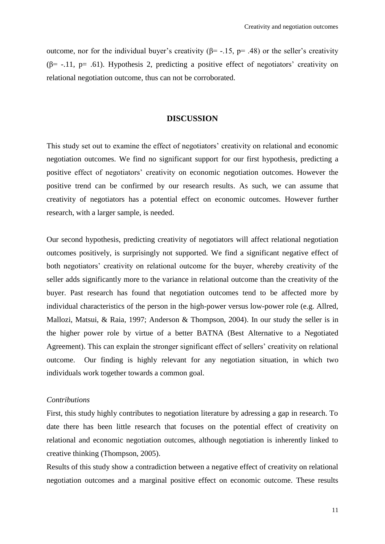outcome, nor for the individual buyer's creativity ( $β = -15$ ,  $p = 0.48$ ) or the seller's creativity ( $\beta$ = -.11, p= .61). Hypothesis 2, predicting a positive effect of negotiators' creativity on relational negotiation outcome, thus can not be corroborated.

## **DISCUSSION**

This study set out to examine the effect of negotiators' creativity on relational and economic negotiation outcomes. We find no significant support for our first hypothesis, predicting a positive effect of negotiators' creativity on economic negotiation outcomes. However the positive trend can be confirmed by our research results. As such, we can assume that creativity of negotiators has a potential effect on economic outcomes. However further research, with a larger sample, is needed.

Our second hypothesis, predicting creativity of negotiators will affect relational negotiation outcomes positively, is surprisingly not supported. We find a significant negative effect of both negotiators' creativity on relational outcome for the buyer, whereby creativity of the seller adds significantly more to the variance in relational outcome than the creativity of the buyer. Past research has found that negotiation outcomes tend to be affected more by individual characteristics of the person in the high-power versus low-power role (e.g. Allred, Mallozi, Matsui, & Raia, 1997; Anderson & Thompson, 2004). In our study the seller is in the higher power role by virtue of a better BATNA (Best Alternative to a Negotiated Agreement). This can explain the stronger significant effect of sellers' creativity on relational outcome. Our finding is highly relevant for any negotiation situation, in which two individuals work together towards a common goal.

# *Contributions*

First, this study highly contributes to negotiation literature by adressing a gap in research. To date there has been little research that focuses on the potential effect of creativity on relational and economic negotiation outcomes, although negotiation is inherently linked to creative thinking (Thompson, 2005).

Results of this study show a contradiction between a negative effect of creativity on relational negotiation outcomes and a marginal positive effect on economic outcome. These results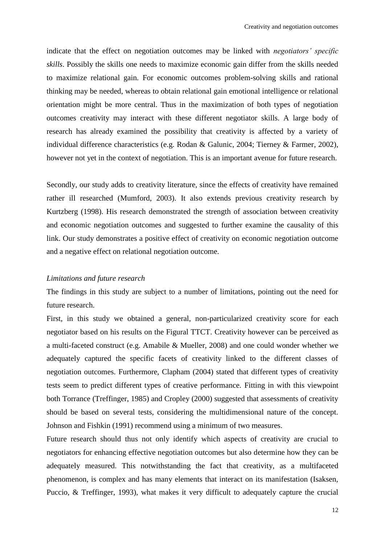indicate that the effect on negotiation outcomes may be linked with *negotiators' specific skills*. Possibly the skills one needs to maximize economic gain differ from the skills needed to maximize relational gain. For economic outcomes problem-solving skills and rational thinking may be needed, whereas to obtain relational gain emotional intelligence or relational orientation might be more central. Thus in the maximization of both types of negotiation outcomes creativity may interact with these different negotiator skills. A large body of research has already examined the possibility that creativity is affected by a variety of individual difference characteristics (e.g. Rodan & Galunic, 2004; Tierney & Farmer, 2002), however not yet in the context of negotiation. This is an important avenue for future research.

Secondly, our study adds to creativity literature, since the effects of creativity have remained rather ill researched (Mumford, 2003). It also extends previous creativity research by Kurtzberg (1998). His research demonstrated the strength of association between creativity and economic negotiation outcomes and suggested to further examine the causality of this link. Our study demonstrates a positive effect of creativity on economic negotiation outcome and a negative effect on relational negotiation outcome.

# *Limitations and future research*

The findings in this study are subject to a number of limitations, pointing out the need for future research.

First, in this study we obtained a general, non-particularized creativity score for each negotiator based on his results on the Figural TTCT. Creativity however can be perceived as a multi-faceted construct (e.g. Amabile & Mueller, 2008) and one could wonder whether we adequately captured the specific facets of creativity linked to the different classes of negotiation outcomes. Furthermore, Clapham (2004) stated that different types of creativity tests seem to predict different types of creative performance. Fitting in with this viewpoint both Torrance (Treffinger, 1985) and Cropley (2000) suggested that assessments of creativity should be based on several tests, considering the multidimensional nature of the concept. Johnson and Fishkin (1991) recommend using a minimum of two measures.

Future research should thus not only identify which aspects of creativity are crucial to negotiators for enhancing effective negotiation outcomes but also determine how they can be adequately measured. This notwithstanding the fact that creativity, as a multifaceted phenomenon, is complex and has many elements that interact on its manifestation (Isaksen, Puccio, & Treffinger, 1993), what makes it very difficult to adequately capture the crucial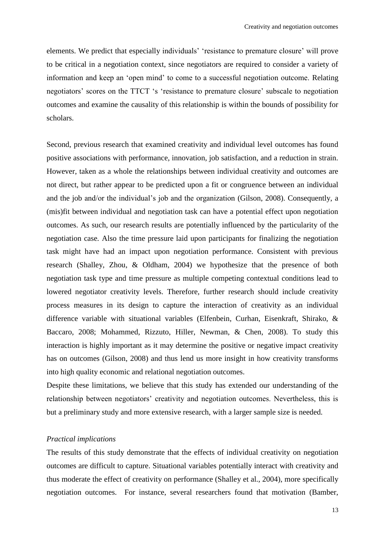elements. We predict that especially individuals' 'resistance to premature closure' will prove to be critical in a negotiation context, since negotiators are required to consider a variety of information and keep an 'open mind' to come to a successful negotiation outcome. Relating negotiators' scores on the TTCT 's 'resistance to premature closure' subscale to negotiation outcomes and examine the causality of this relationship is within the bounds of possibility for scholars.

Second, previous research that examined creativity and individual level outcomes has found positive associations with performance, innovation, job satisfaction, and a reduction in strain. However, taken as a whole the relationships between individual creativity and outcomes are not direct, but rather appear to be predicted upon a fit or congruence between an individual and the job and/or the individual's job and the organization (Gilson, 2008). Consequently, a (mis)fit between individual and negotiation task can have a potential effect upon negotiation outcomes. As such, our research results are potentially influenced by the particularity of the negotiation case*.* Also the time pressure laid upon participants for finalizing the negotiation task might have had an impact upon negotiation performance. Consistent with previous research (Shalley, Zhou, & Oldham, 2004) we hypothesize that the presence of both negotiation task type and time pressure as multiple competing contextual conditions lead to lowered negotiator creativity levels. Therefore, further research should include creativity process measures in its design to capture the interaction of creativity as an individual difference variable with situational variables (Elfenbein, Curhan, Eisenkraft, Shirako, & Baccaro, 2008; Mohammed, Rizzuto, Hiller, Newman, & Chen, 2008). To study this interaction is highly important as it may determine the positive or negative impact creativity has on outcomes (Gilson, 2008) and thus lend us more insight in how creativity transforms into high quality economic and relational negotiation outcomes.

Despite these limitations, we believe that this study has extended our understanding of the relationship between negotiators' creativity and negotiation outcomes. Nevertheless, this is but a preliminary study and more extensive research, with a larger sample size is needed.

#### *Practical implications*

The results of this study demonstrate that the effects of individual creativity on negotiation outcomes are difficult to capture. Situational variables potentially interact with creativity and thus moderate the effect of creativity on performance (Shalley et al., 2004), more specifically negotiation outcomes. For instance, several researchers found that motivation (Bamber,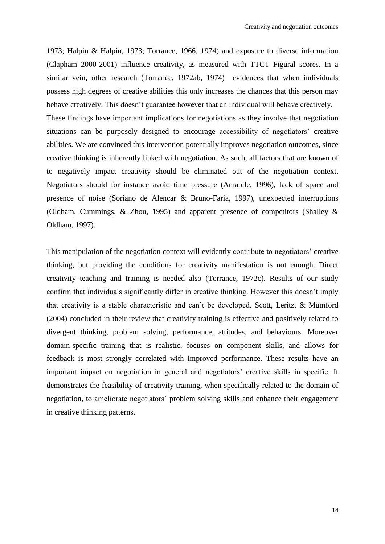1973; Halpin & Halpin, 1973; Torrance, 1966, 1974) and exposure to diverse information (Clapham 2000-2001) influence creativity, as measured with TTCT Figural scores. In a similar vein, other research (Torrance, 1972ab, 1974) evidences that when individuals possess high degrees of creative abilities this only increases the chances that this person may behave creatively. This doesn't guarantee however that an individual will behave creatively. These findings have important implications for negotiations as they involve that negotiation situations can be purposely designed to encourage accessibility of negotiators' creative abilities. We are convinced this intervention potentially improves negotiation outcomes, since creative thinking is inherently linked with negotiation. As such, all factors that are known of to negatively impact creativity should be eliminated out of the negotiation context. Negotiators should for instance avoid time pressure (Amabile, 1996), lack of space and presence of noise (Soriano de Alencar & Bruno-Faria, 1997), unexpected interruptions (Oldham, Cummings, & Zhou, 1995) and apparent presence of competitors (Shalley & Oldham, 1997).

This manipulation of the negotiation context will evidently contribute to negotiators' creative thinking, but providing the conditions for creativity manifestation is not enough. Direct creativity teaching and training is needed also (Torrance, 1972c). Results of our study confirm that individuals significantly differ in creative thinking. However this doesn't imply that creativity is a stable characteristic and can't be developed. Scott, Leritz, & Mumford (2004) concluded in their review that creativity training is effective and positively related to divergent thinking, problem solving, performance, attitudes, and behaviours. Moreover domain-specific training that is realistic, focuses on component skills, and allows for feedback is most strongly correlated with improved performance. These results have an important impact on negotiation in general and negotiators' creative skills in specific. It demonstrates the feasibility of creativity training, when specifically related to the domain of negotiation, to ameliorate negotiators' problem solving skills and enhance their engagement in creative thinking patterns.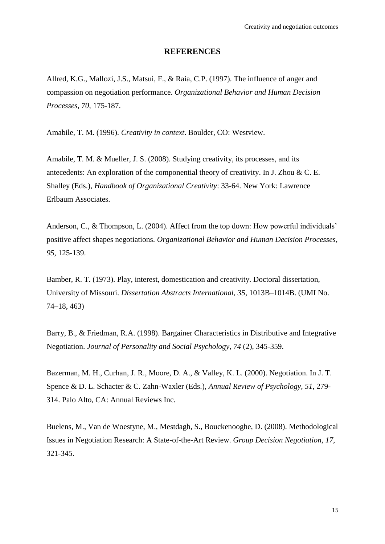## **REFERENCES**

Allred, K.G., Mallozi, J.S., Matsui, F., & Raia, C.P. (1997). The influence of anger and compassion on negotiation performance. *Organizational Behavior and Human Decision Processes, 70*, 175-187.

Amabile, T. M. (1996). *Creativity in context*. Boulder, CO: Westview.

Amabile, T. M. & Mueller, J. S. (2008). Studying creativity, its processes, and its antecedents: An exploration of the componential theory of creativity. In J. Zhou & C. E. Shalley (Eds.), *Handbook of Organizational Creativity*: 33-64. New York: Lawrence Erlbaum Associates.

Anderson, C., & Thompson, L. (2004). Affect from the top down: How powerful individuals' positive affect shapes negotiations. *Organizational Behavior and Human Decision Processes, 95*, 125-139.

Bamber, R. T. (1973). Play, interest, domestication and creativity. Doctoral dissertation, University of Missouri. *Dissertation Abstracts International, 35,* 1013B–1014B. (UMI No. 74–18, 463)

Barry, B., & Friedman, R.A. (1998). Bargainer Characteristics in Distributive and Integrative Negotiation. *Journal of Personality and Social Psychology, 74* (2), 345-359.

Bazerman, M. H., Curhan, J. R., Moore, D. A., & Valley, K. L. (2000). Negotiation. In J. T. Spence & D. L. Schacter & C. Zahn-Waxler (Eds.), *Annual Review of Psychology, 51*, 279- 314. Palo Alto, CA: Annual Reviews Inc.

Buelens, M., Van de Woestyne, M., Mestdagh, S., Bouckenooghe, D. (2008). Methodological Issues in Negotiation Research: A State-of-the-Art Review. *Group Decision Negotiation, 17*, 321-345.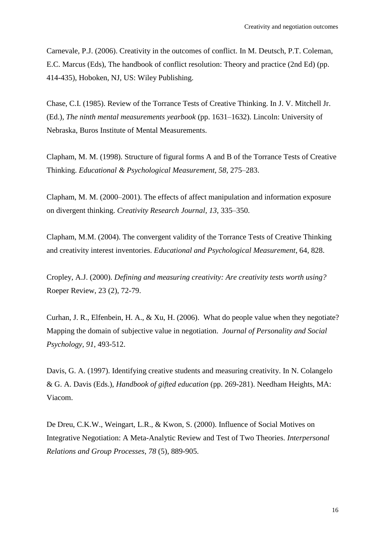Carnevale, P.J. (2006). [Creativity in the outcomes of conflict.](http://psycnet.apa.org/index.cfm?fa=search.displayRecord&id=B59C11F9-9100-D6C6-6117-9E2A3C4F803D&resultID=4&page=1&dbTab=all) In M. Deutsch, P.T. Coleman, E.C. Marcus (Eds), The handbook of conflict resolution: Theory and practice (2nd Ed) (pp. 414-435), Hoboken, NJ, US: Wiley Publishing.

Chase, C.I. (1985). Review of the Torrance Tests of Creative Thinking. In J. V. Mitchell Jr. (Ed.), *The ninth mental measurements yearbook* (pp. 1631–1632). Lincoln: University of Nebraska, Buros Institute of Mental Measurements.

Clapham, M. M. (1998). Structure of figural forms A and B of the Torrance Tests of Creative Thinking. *Educational & Psychological Measurement, 58,* 275–283.

Clapham, M. M. (2000–2001). The effects of affect manipulation and information exposure on divergent thinking. *Creativity Research Journal, 13*, 335–350.

Clapham, M.M. (2004). The convergent validity of the Torrance Tests of Creative Thinking and creativity interest inventories. *Educational and Psychological Measurement*, 64, 828.

Cropley, A.J. (2000). *Defining and measuring creativity: Are creativity tests worth using?* Roeper Review, 23 (2), 72-79.

Curhan, J. R., Elfenbein, H. A., & Xu, H. (2006). What do people value when they negotiate? Mapping the domain of subjective value in negotiation. *Journal of Personality and Social Psychology, 91*, 493-512.

Davis, G. A. (1997). Identifying creative students and measuring creativity. In N. Colangelo & G. A. Davis (Eds.), *Handbook of gifted education* (pp. 269-281). Needham Heights, MA: Viacom.

De Dreu, C.K.W., Weingart, L.R., & Kwon, S. (2000). Influence of Social Motives on Integrative Negotiation: A Meta-Analytic Review and Test of Two Theories. *Interpersonal Relations and Group Processes*, *78* (5), 889-905.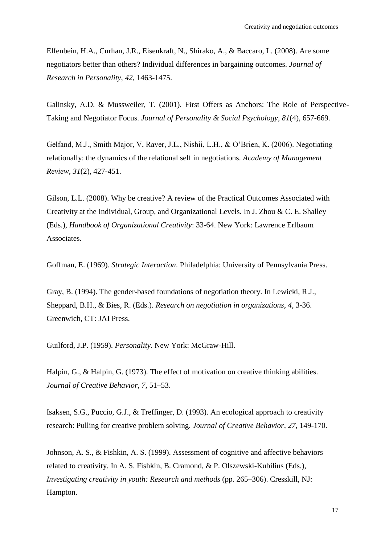Elfenbein, H.A., Curhan, J.R., Eisenkraft, N., Shirako, A., & Baccaro, L. (2008). Are some negotiators better than others? Individual differences in bargaining outcomes. *Journal of Research in Personality*, *42*, 1463-1475.

Galinsky, A.D. & Mussweiler, T. (2001). [First Offers as Anchors: The Role of Perspective-](http://web.ebscohost.com/ehost/viewarticle?data=dGJyMPPp44rp2%2fdV0%2bnjisfk5Ie45PFIrqayTLCk63nn5Kx95uXxjL6nsEevq61Krqa3OLGwrk64qLU4zsOkjPDX7Ivf2fKB7eTnfLuprk23p7ZPsa6khN%2fk5VXj5KR84LPgjOac8nnls79mpNfsVbOptku3qrQ%2b5OXwhd%2fqu37z4uqM4%2b7y&hid=104)[Taking and Negotiator Focus.](http://web.ebscohost.com/ehost/viewarticle?data=dGJyMPPp44rp2%2fdV0%2bnjisfk5Ie45PFIrqayTLCk63nn5Kx95uXxjL6nsEevq61Krqa3OLGwrk64qLU4zsOkjPDX7Ivf2fKB7eTnfLuprk23p7ZPsa6khN%2fk5VXj5KR84LPgjOac8nnls79mpNfsVbOptku3qrQ%2b5OXwhd%2fqu37z4uqM4%2b7y&hid=104) *Journal of Personality & Social Psychology*, *81*(4), 657-669.

Gelfand, M.J., Smith Major, V, Raver, J.L., Nishii, L.H., & O'Brien, K. (2006). Negotiating relationally: the dynamics of the relational self in negotiations. *Academy of Management Review, 31*(2), 427-451.

Gilson, L.L. (2008). Why be creative? A review of the Practical Outcomes Associated with Creativity at the Individual, Group, and Organizational Levels. In J. Zhou & C. E. Shalley (Eds.), *Handbook of Organizational Creativity*: 33-64. New York: Lawrence Erlbaum Associates.

Goffman, E. (1969). *Strategic Interaction*. Philadelphia: University of Pennsylvania Press.

Gray, B. (1994). The gender-based foundations of negotiation theory. In Lewicki, R.J., Sheppard, B.H., & Bies, R. (Eds.). *Research on negotiation in organizations*, *4,* 3-36. Greenwich, CT: JAI Press.

Guilford, J.P. (1959). *Personality.* New York: McGraw-Hill.

Halpin, G., & Halpin, G. (1973). The effect of motivation on creative thinking abilities. *Journal of Creative Behavior, 7,* 51–53.

Isaksen, S.G., Puccio, G.J., & Treffinger, D. (1993). An ecological approach to creativity research: Pulling for creative problem solving. *Journal of Creative Behavior, 27*, 149-170.

Johnson, A. S., & Fishkin, A. S. (1999). Assessment of cognitive and affective behaviors related to creativity. In A. S. Fishkin, B. Cramond, & P. Olszewski-Kubilius (Eds.), *Investigating creativity in youth: Research and methods (pp. 265–306). Cresskill, NJ:* Hampton.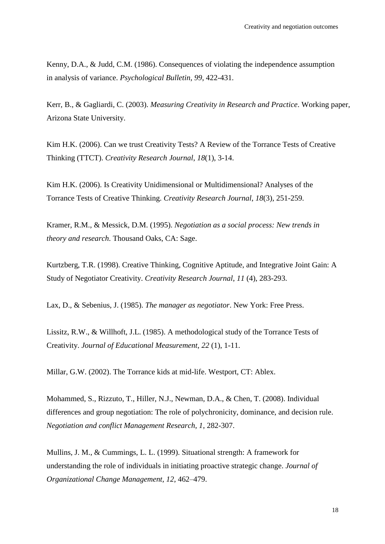Kenny, D.A., & Judd, C.M. (1986). Consequences of violating the independence assumption in analysis of variance. *Psychological Bulletin*, *99*, 422-431.

Kerr, B., & Gagliardi, C. (2003). *Measuring Creativity in Research and Practice*. Working paper, Arizona State University.

Kim H.K. (2006). Can we trust Creativity Tests? A Review of the Torrance Tests of Creative Thinking (TTCT). *Creativity Research Journal*, *18*(1), 3-14.

Kim H.K. (2006). Is Creativity Unidimensional or Multidimensional? Analyses of the Torrance Tests of Creative Thinking. *Creativity Research Journal*, *18*(3), 251-259.

Kramer, R.M., & Messick, D.M. (1995). *Negotiation as a social process: New trends in theory and research*. Thousand Oaks, CA: Sage.

Kurtzberg, T.R. (1998). Creative Thinking, Cognitive Aptitude, and Integrative Joint Gain: A Study of Negotiator Creativity. *Creativity Research Journal*, *11* (4), 283-293.

Lax, D., & Sebenius, J. (1985). *The manager as negotiator*. New York: Free Press.

Lissitz, R.W., & Willhoft, J.L. (1985). A methodological study of the Torrance Tests of Creativity. *Journal of Educational Measurement*, *22* (1), 1-11.

Millar, G.W. (2002). The Torrance kids at mid-life. Westport, CT: Ablex.

Mohammed, S., Rizzuto, T., Hiller, N.J., Newman, D.A., & Chen, T. (2008). Individual differences and group negotiation: The role of polychronicity, dominance, and decision rule. *Negotiation and conflict Management Research*, *1*, 282-307.

Mullins, J. M., & Cummings, L. L. (1999). Situational strength: A framework for understanding the role of individuals in initiating proactive strategic change. *Journal of Organizational Change Management, 12*, 462–479.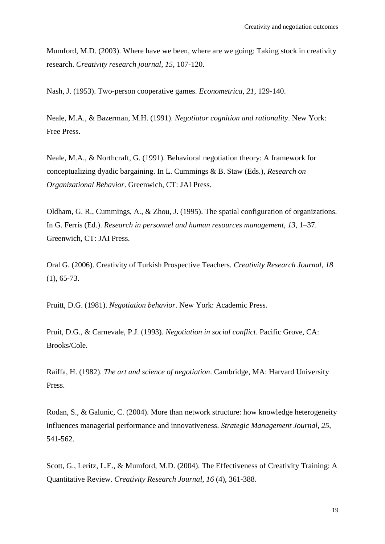Mumford, M.D. (2003). Where have we been, where are we going: Taking stock in creativity research. *Creativity research journal*, *15*, 107-120.

Nash, J. (1953). Two-person cooperative games. *Econometrica*, *21*, 129-140.

Neale, M.A., & Bazerman, M.H. (1991). *Negotiator cognition and rationality*. New York: Free Press.

Neale, M.A., & Northcraft, G. (1991). Behavioral negotiation theory: A framework for conceptualizing dyadic bargaining. In L. Cummings & B. Staw (Eds.), *Research on Organizational Behavior*. Greenwich, CT: JAI Press.

Oldham, G. R., Cummings, A., & Zhou, J. (1995). The spatial configuration of organizations. In G. Ferris (Ed.). *Research in personnel and human resources management, 13*, 1–37. Greenwich, CT: JAI Press.

Oral G. (2006). Creativity of Turkish Prospective Teachers. *Creativity Research Journal*, *18* (1), 65-73.

Pruitt, D.G. (1981). *Negotiation behavior*. New York: Academic Press.

Pruit, D.G., & Carnevale, P.J. (1993). *Negotiation in social conflict*. Pacific Grove, CA: Brooks/Cole.

Raiffa, H. (1982). *The art and science of negotiation*. Cambridge, MA: Harvard University Press.

Rodan, S., & Galunic, C. (2004). More than network structure: how knowledge heterogeneity influences managerial performance and innovativeness. *Strategic Management Journal, 25,* 541-562.

Scott, G., Leritz, L.E., & Mumford, M.D. (2004). The Effectiveness of Creativity Training: A Quantitative Review. *Creativity Research Journal*, *16* (4), 361-388.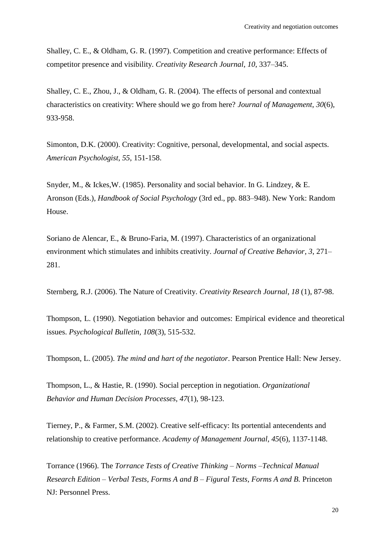Shalley, C. E., & Oldham, G. R. (1997). Competition and creative performance: Effects of competitor presence and visibility. *Creativity Research Journal*, *10*, 337–345.

Shalley, C. E., Zhou, J., & Oldham, G. R. (2004). The effects of personal and contextual characteristics on creativity: Where should we go from here? *Journal of Management*, *30*(6), 933-958.

Simonton, D.K. (2000). Creativity: Cognitive, personal, developmental, and social aspects. *American Psychologist*, *55*, 151-158.

Snyder, M., & Ickes,W. (1985). Personality and social behavior. In G. Lindzey, & E. Aronson (Eds.), *Handbook of Social Psychology* (3rd ed., pp. 883–948). New York: Random House.

Soriano de Alencar, E., & Bruno-Faria, M. (1997). Characteristics of an organizational environment which stimulates and inhibits creativity. *Journal of Creative Behavior*, *3*, 271– 281.

Sternberg, R.J. (2006). The Nature of Creativity. *Creativity Research Journal*, *18* (1), 87-98.

Thompson, L. (1990). Negotiation behavior and outcomes: Empirical evidence and theoretical issues. *Psychological Bulletin, 108*(3), 515-532.

Thompson, L. (2005). *The mind and hart of the negotiator*. Pearson Prentice Hall: New Jersey.

Thompson, L., & Hastie, R. (1990). [Social perception in negotiation.](http://psycnet.apa.org/index.cfm?fa=search.displayRecord&id=5D3405B1-A48F-4D23-A2FD-16523A5348AF&resultID=3&page=1&dbTab=all) *Organizational Behavior and Human Decision Processes, 47*(1), 98-123.

Tierney, P., & Farmer, S.M. (2002). Creative self-efficacy: Its portential antecendents and relationship to creative performance. *Academy of Management Journal, 45*(6), 1137-1148.

Torrance (1966). The *Torrance Tests of Creative Thinking – Norms –Technical Manual Research Edition – Verbal Tests, Forms A and B – Figural Tests, Forms A and B.* Princeton NJ: Personnel Press.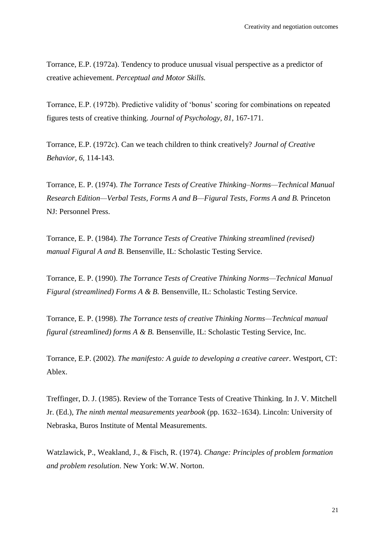Torrance, E.P. (1972a). Tendency to produce unusual visual perspective as a predictor of creative achievement. *Perceptual and Motor Skills.*

Torrance, E.P. (1972b). Predictive validity of 'bonus' scoring for combinations on repeated figures tests of creative thinking. *Journal of Psychology*, *81*, 167-171.

Torrance, E.P. (1972c). Can we teach children to think creatively? *Journal of Creative Behavior, 6*, 114-143.

Torrance, E. P. (1974). *The Torrance Tests of Creative Thinking–Norms—Technical Manual Research Edition—Verbal Tests, Forms A and B—Figural Tests, Forms A and B.* Princeton NJ: Personnel Press.

Torrance, E. P. (1984). *The Torrance Tests of Creative Thinking streamlined (revised) manual Figural A and B.* Bensenville, IL: Scholastic Testing Service.

Torrance, E. P. (1990). *The Torrance Tests of Creative Thinking Norms—Technical Manual Figural (streamlined) Forms A & B. Bensenville, IL: Scholastic Testing Service.* 

Torrance, E. P. (1998). *The Torrance tests of creative Thinking Norms—Technical manual figural (streamlined) forms A & B.* Bensenville, IL: Scholastic Testing Service, Inc.

Torrance, E.P. (2002). *The manifesto: A guide to developing a creative career*. Westport, CT: Ablex.

Treffinger, D. J. (1985). Review of the Torrance Tests of Creative Thinking. In J. V. Mitchell Jr. (Ed.), *The ninth mental measurements yearbook* (pp. 1632–1634). Lincoln: University of Nebraska, Buros Institute of Mental Measurements.

Watzlawick, P., Weakland, J., & Fisch, R. (1974). *Change: Principles of problem formation and problem resolution*. New York: W.W. Norton.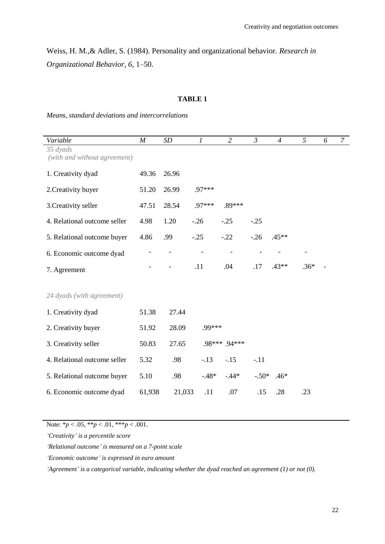Weiss, H. M.,& Adler, S. (1984). Personality and organizational behavior. *Research in Organizational Behavior, 6*, 1–50.

## **TABLE 1**

*Means, standard deviations and intercorrelations* 

| Variable                                 | $\boldsymbol{M}$ | SD     | $\boldsymbol{l}$ | $\overline{2}$               | $\mathfrak{Z}$ | $\overline{4}$ | 5      | 6 | $\mathcal{I}$ |
|------------------------------------------|------------------|--------|------------------|------------------------------|----------------|----------------|--------|---|---------------|
| 35 dyads<br>(with and without agreement) |                  |        |                  |                              |                |                |        |   |               |
| 1. Creativity dyad                       | 49.36            | 26.96  |                  |                              |                |                |        |   |               |
| 2. Creativity buyer                      | 51.20            | 26.99  | .97***           |                              |                |                |        |   |               |
| 3. Creativity seller                     | 47.51            | 28.54  | .97***           | .89***                       |                |                |        |   |               |
| 4. Relational outcome seller             | 4.98             | 1.20   | $-26$            | $-.25$                       | $-.25$         |                |        |   |               |
| 5. Relational outcome buyer              | 4.86             | .99    | $-0.25$          | $-.22$                       | $-0.26$        | $.45**$        |        |   |               |
| 6. Economic outcome dyad                 |                  |        |                  | $\qquad \qquad \blacksquare$ |                |                |        |   |               |
| 7. Agreement                             |                  |        | .11              | .04                          | .17            | $.43**$        | $.36*$ |   |               |
|                                          |                  |        |                  |                              |                |                |        |   |               |
| 24 dyads (with agreement)                |                  |        |                  |                              |                |                |        |   |               |
| 1. Creativity dyad                       | 51.38            | 27.44  |                  |                              |                |                |        |   |               |
| 2. Creativity buyer                      | 51.92            | 28.09  | .99***           |                              |                |                |        |   |               |
| 3. Creativity seller                     | 50.83            | 27.65  |                  | .98*** 94***                 |                |                |        |   |               |
| 4. Relational outcome seller             | 5.32             | .98    | $-.13$           | $-15$                        | $-.11$         |                |        |   |               |
| 5. Relational outcome buyer              | 5.10             | .98    | $-48*$           | $-44*$                       | $-.50*$        | $.46*$         |        |   |               |
| 6. Economic outcome dyad                 | 61,938           | 21,033 | .11              | .07                          | .15            | .28            | .23    |   |               |

Note: \**p* < .05, \*\**p* < .01, \*\*\**p* < .001.

*'Creativity' is a percentile score*

*'Relational outcome' is measured on a 7-point scale*

*'Economic outcome' is expressed in euro amount*

*'Agreement' is a categorical variable, indicating whether the dyad reached an agreement (1) or not (0).*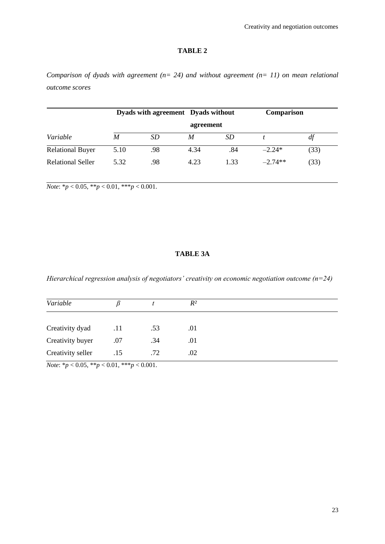#### **TABLE 2**

*Comparison of dyads with agreement (n= 24) and without agreement (n= 11) on mean relational outcome scores* 

|                         |      | Dyads with agreement Dyads without |           |      | <b>Comparison</b> |      |
|-------------------------|------|------------------------------------|-----------|------|-------------------|------|
|                         |      |                                    | agreement |      |                   |      |
| Variable                | M    | SD                                 | M         | SD   |                   | df   |
| <b>Relational Buyer</b> | 5.10 | .98                                | 4.34      | .84  | $-2.24*$          | (33) |
| Relational Seller       | 5.32 | .98                                | 4.23      | 1.33 | $-2.74**$         | (33) |

*Note*: \**p* < 0.05, \*\**p* < 0.01, \*\*\**p* < 0.001.

# **TABLE 3A**

*Hierarchical regression analysis of negotiators' creativity on economic negotiation outcome (n=24)* 

| Variable          |     |     | $R^2$ |
|-------------------|-----|-----|-------|
| Creativity dyad   | .11 | .53 | .01   |
| Creativity buyer  | .07 | .34 | .01   |
| Creativity seller | .15 | .72 | .02   |

*Note*: \**p* < 0.05, \*\**p* < 0.01, \*\*\**p* < 0.001.